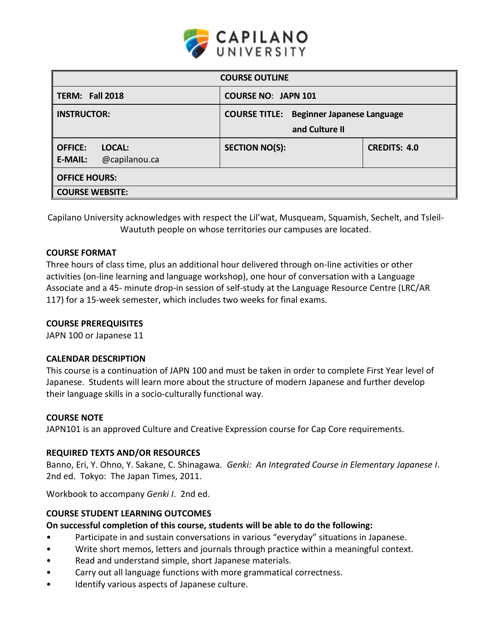

| <b>COURSE NO: JAPN 101</b>                                        |                     |  |  |  |  |
|-------------------------------------------------------------------|---------------------|--|--|--|--|
|                                                                   |                     |  |  |  |  |
| <b>COURSE TITLE: Beginner Japanese Language</b><br>and Culture II |                     |  |  |  |  |
| <b>SECTION NO(S):</b>                                             | <b>CREDITS: 4.0</b> |  |  |  |  |
| <b>OFFICE HOURS:</b><br><b>COURSE WEBSITE:</b>                    |                     |  |  |  |  |
|                                                                   |                     |  |  |  |  |

Capilano University acknowledges with respect the Lil'wat, Musqueam, Squamish, Sechelt, and Tsleil-Waututh people on whose territories our campuses are located.

#### **COURSE FORMAT**

Three hours of class time, plus an additional hour delivered through on-line activities or other activities (on-line learning and language workshop), one hour of conversation with a Language Associate and a 45- minute drop-in session of self-study at the Language Resource Centre (LRC/AR 117) for a 15-week semester, which includes two weeks for final exams.

#### **COURSE PREREQUISITES**

JAPN 100 or Japanese 11

#### **CALENDAR DESCRIPTION**

This course is a continuation of JAPN 100 and must be taken in order to complete First Year level of Japanese. Students will learn more about the structure of modern Japanese and further develop their language skills in a socio-culturally functional way.

#### **COURSE NOTE**

JAPN101 is an approved Culture and Creative Expression course for Cap Core requirements.

## **REQUIRED TEXTS AND/OR RESOURCES**

Banno, Eri, Y. Ohno, Y. Sakane, C. Shinagawa*. Genki: An Integrated Course in Elementary Japanese I*. 2nd ed. Tokyo: The Japan Times, 2011.

Workbook to accompany *Genki I*. 2nd ed.

## **COURSE STUDENT LEARNING OUTCOMES**

#### **On successful completion of this course, students will be able to do the following:**

- Participate in and sustain conversations in various "everyday" situations in Japanese.
- Write short memos, letters and journals through practice within a meaningful context.
- Read and understand simple, short Japanese materials.
- Carry out all language functions with more grammatical correctness.
- Identify various aspects of Japanese culture.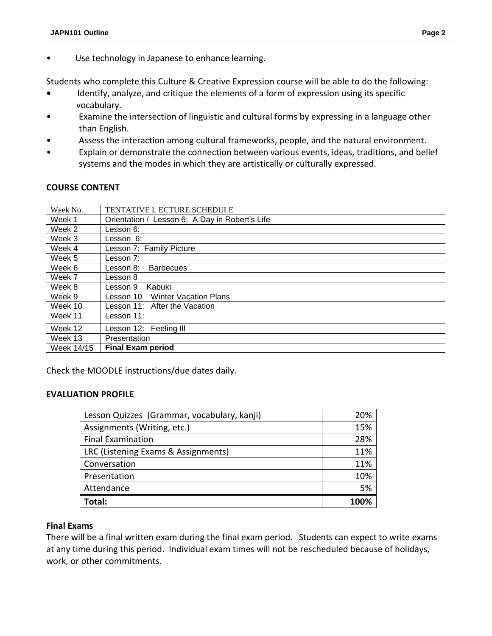• Use technology in Japanese to enhance learning.

Students who complete this Culture & Creative Expression course will be able to do the following:

- **•** Identify, analyze, and critique the elements of a form of expression using its specific vocabulary.
- Examine the intersection of linguistic and cultural forms by expressing in a language other than English.
- Assess the interaction among cultural frameworks, people, and the natural environment.
- Explain or demonstrate the connection between various events, ideas, traditions, and belief systems and the modes in which they are artistically or culturally expressed.

## **COURSE CONTENT**

| Week No.   | <b>TENTATIVE L ECTURE SCHEDULE</b>             |
|------------|------------------------------------------------|
| Week 1     | Orientation / Lesson 6: A Day in Robert's Life |
| Week 2     | Lesson 6:                                      |
| Week 3     | Lesson 6:                                      |
| Week 4     | Lesson 7: Family Picture                       |
| Week 5     | Lesson 7:                                      |
| Week 6     | Lesson 8:<br><b>Barbecues</b>                  |
| Week 7     | Lesson 8                                       |
| Week 8     | Kabuki<br>Lesson 9                             |
| Week 9     | <b>Winter Vacation Plans</b><br>Lesson 10      |
| Week 10    | Lesson 11:<br>After the Vacation               |
| Week 11    | Lesson 11:                                     |
| Week 12    | Lesson 12: Feeling III                         |
| Week 13    | Presentation                                   |
| Week 14/15 | <b>Final Exam period</b>                       |

Check the MOODLE instructions/due dates daily.

## **EVALUATION PROFILE**

| Lesson Quizzes (Grammar, vocabulary, kanji) | 20%  |
|---------------------------------------------|------|
| Assignments (Writing, etc.)                 | 15%  |
| <b>Final Examination</b>                    | 28%  |
| LRC (Listening Exams & Assignments)         | 11%  |
| Conversation                                | 11%  |
| Presentation                                | 10%  |
| Attendance                                  | 5%   |
| Total:                                      | 100% |

## **Final Exams**

There will be a final written exam during the final exam period*.* Students can expect to write exams at any time during this period. Individual exam times will not be rescheduled because of holidays, work, or other commitments.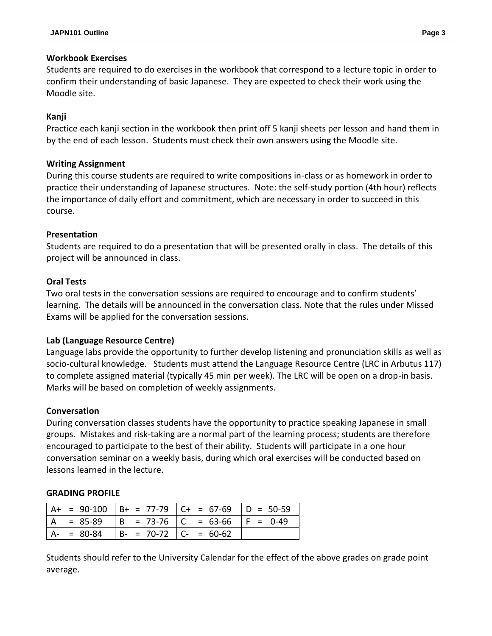## **Workbook Exercises**

Students are required to do exercises in the workbook that correspond to a lecture topic in order to confirm their understanding of basic Japanese. They are expected to check their work using the Moodle site.

# **Kanji**

Practice each kanji section in the workbook then print off 5 kanji sheets per lesson and hand them in by the end of each lesson. Students must check their own answers using the Moodle site.

## **Writing Assignment**

During this course students are required to write compositions in-class or as homework in order to practice their understanding of Japanese structures. Note: the self-study portion (4th hour) reflects the importance of daily effort and commitment, which are necessary in order to succeed in this course.

## **Presentation**

Students are required to do a presentation that will be presented orally in class. The details of this project will be announced in class.

## **Oral Tests**

Two oral tests in the conversation sessions are required to encourage and to confirm students' learning. The details will be announced in the conversation class. Note that the rules under Missed Exams will be applied for the conversation sessions.

## **Lab (Language Resource Centre)**

Language labs provide the opportunity to further develop listening and pronunciation skills as well as socio-cultural knowledge. Students must attend the Language Resource Centre (LRC in Arbutus 117) to complete assigned material (typically 45 min per week). The LRC will be open on a drop-in basis. Marks will be based on completion of weekly assignments.

## **Conversation**

During conversation classes students have the opportunity to practice speaking Japanese in small groups. Mistakes and risk-taking are a normal part of the learning process; students are therefore encouraged to participate to the best of their ability. Students will participate in a one hour conversation seminar on a weekly basis, during which oral exercises will be conducted based on lessons learned in the lecture.

## **GRADING PROFILE**

|               |                         | $A+ = 90-100$ $B+ = 77-79$ $C+ = 67-69$ $D = 50-59$ |  |
|---------------|-------------------------|-----------------------------------------------------|--|
|               |                         | $= 85-89$  B = 73-76  C = 63-66  F = 0-49           |  |
| $A - = 80-84$ | $ B- = 70-72 C = 60-62$ |                                                     |  |

Students should refer to the University Calendar for the effect of the above grades on grade point average.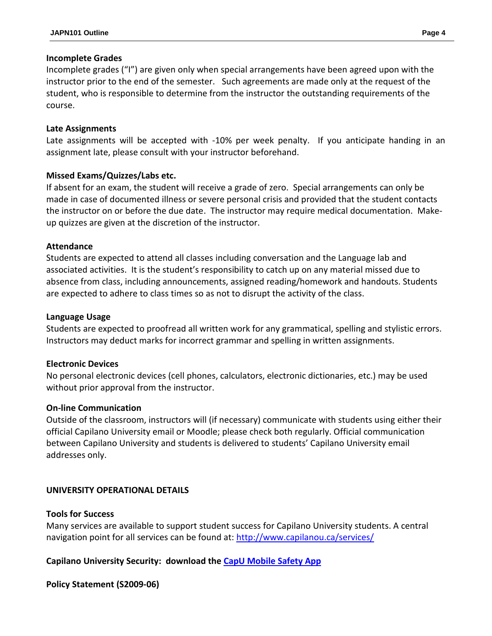#### **Incomplete Grades**

Incomplete grades ("I") are given only when special arrangements have been agreed upon with the instructor prior to the end of the semester. Such agreements are made only at the request of the student, who is responsible to determine from the instructor the outstanding requirements of the course.

#### **Late Assignments**

Late assignments will be accepted with -10% per week penalty. If you anticipate handing in an assignment late, please consult with your instructor beforehand.

## **Missed Exams/Quizzes/Labs etc.**

If absent for an exam, the student will receive a grade of zero. Special arrangements can only be made in case of documented illness or severe personal crisis and provided that the student contacts the instructor on or before the due date. The instructor may require medical documentation. Makeup quizzes are given at the discretion of the instructor.

#### **Attendance**

Students are expected to attend all classes including conversation and the Language lab and associated activities. It is the student's responsibility to catch up on any material missed due to absence from class, including announcements, assigned reading/homework and handouts. Students are expected to adhere to class times so as not to disrupt the activity of the class.

#### **Language Usage**

Students are expected to proofread all written work for any grammatical, spelling and stylistic errors. Instructors may deduct marks for incorrect grammar and spelling in written assignments.

## **Electronic Devices**

No personal electronic devices (cell phones, calculators, electronic dictionaries, etc.) may be used without prior approval from the instructor.

## **On-line Communication**

Outside of the classroom, instructors will (if necessary) communicate with students using either their official Capilano University email or Moodle; please check both regularly. Official communication between Capilano University and students is delivered to students' Capilano University email addresses only.

## **UNIVERSITY OPERATIONAL DETAILS**

#### **Tools for Success**

Many services are available to support student success for Capilano University students. A central navigation point for all services can be found at:<http://www.capilanou.ca/services/>

## **Capilano University Security: download the [CapU Mobile Safety App](https://www.capilanou.ca/services/safety-security/CapU-Mobile-Safety-App/)**

## **Policy Statement (S2009-06)**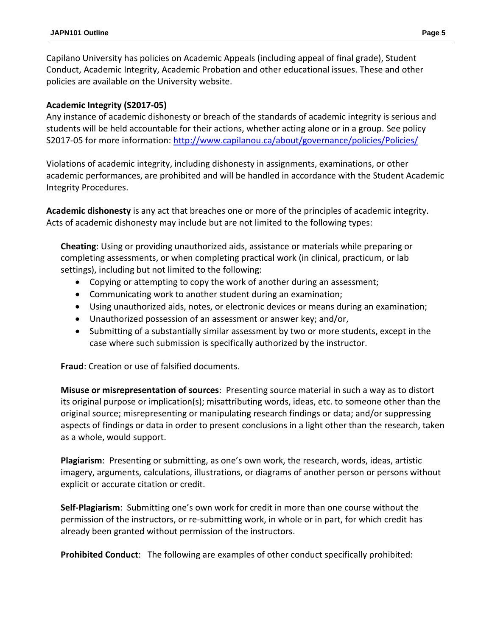Capilano University has policies on Academic Appeals (including appeal of final grade), Student Conduct, Academic Integrity, Academic Probation and other educational issues. These and other policies are available on the University website.

## **Academic Integrity (S2017-05)**

Any instance of academic dishonesty or breach of the standards of academic integrity is serious and students will be held accountable for their actions, whether acting alone or in a group. See policy S2017-05 for more information: <http://www.capilanou.ca/about/governance/policies/Policies/>

Violations of academic integrity, including dishonesty in assignments, examinations, or other academic performances, are prohibited and will be handled in accordance with the Student Academic Integrity Procedures.

**Academic dishonesty** is any act that breaches one or more of the principles of academic integrity. Acts of academic dishonesty may include but are not limited to the following types:

**Cheating**: Using or providing unauthorized aids, assistance or materials while preparing or completing assessments, or when completing practical work (in clinical, practicum, or lab settings), including but not limited to the following:

- Copying or attempting to copy the work of another during an assessment;
- Communicating work to another student during an examination;
- Using unauthorized aids, notes, or electronic devices or means during an examination;
- Unauthorized possession of an assessment or answer key; and/or,
- Submitting of a substantially similar assessment by two or more students, except in the case where such submission is specifically authorized by the instructor.

**Fraud**: Creation or use of falsified documents.

**Misuse or misrepresentation of sources**: Presenting source material in such a way as to distort its original purpose or implication(s); misattributing words, ideas, etc. to someone other than the original source; misrepresenting or manipulating research findings or data; and/or suppressing aspects of findings or data in order to present conclusions in a light other than the research, taken as a whole, would support.

**Plagiarism**: Presenting or submitting, as one's own work, the research, words, ideas, artistic imagery, arguments, calculations, illustrations, or diagrams of another person or persons without explicit or accurate citation or credit.

**Self-Plagiarism**: Submitting one's own work for credit in more than one course without the permission of the instructors, or re-submitting work, in whole or in part, for which credit has already been granted without permission of the instructors.

**Prohibited Conduct**: The following are examples of other conduct specifically prohibited: